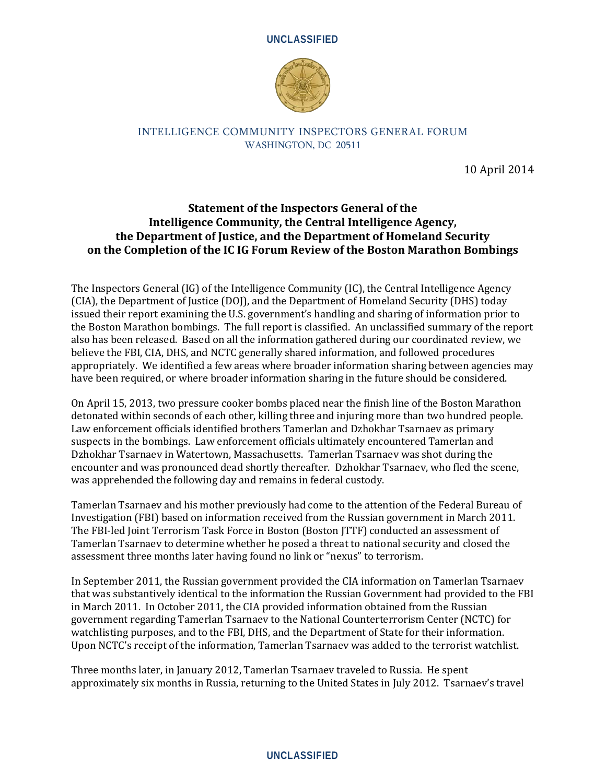



#### INTELLIGENCE COMMUNITY INSPECTORS GENERAL FORUM WASHINGTON, DC 20511

10 April 2014

# **Statement of the Inspectors General of the Intelligence Community, the Central Intelligence Agency, the Department of Justice, and the Department of Homeland Security on the Completion of the IC IG Forum Review of the Boston Marathon Bombings**

The Inspectors General (IG) of the Intelligence Community (IC), the Central Intelligence Agency (CIA), the Department of Justice (DOJ), and the Department of Homeland Security (DHS) today issued their report examining the U.S. government's handling and sharing of information prior to the Boston Marathon bombings. The full report is classified. An unclassified summary of the report also has been released. Based on all the information gathered during our coordinated review, we believe the FBI, CIA, DHS, and NCTC generally shared information, and followed procedures appropriately. We identified a few areas where broader information sharing between agencies may have been required, or where broader information sharing in the future should be considered.

On April 15, 2013, two pressure cooker bombs placed near the finish line of the Boston Marathon detonated within seconds of each other, killing three and injuring more than two hundred people. Law enforcement officials identified brothers Tamerlan and Dzhokhar Tsarnaev as primary suspects in the bombings. Law enforcement officials ultimately encountered Tamerlan and Dzhokhar Tsarnaev in Watertown, Massachusetts. Tamerlan Tsarnaev was shot during the encounter and was pronounced dead shortly thereafter. Dzhokhar Tsarnaev, who fled the scene, was apprehended the following day and remains in federal custody.

Tamerlan Tsarnaev and his mother previously had come to the attention of the Federal Bureau of Investigation (FBI) based on information received from the Russian government in March 2011. The FBI-led Joint Terrorism Task Force in Boston (Boston JTTF) conducted an assessment of Tamerlan Tsarnaev to determine whether he posed a threat to national security and closed the assessment three months later having found no link or "nexus" to terrorism.

In September 2011, the Russian government provided the CIA information on Tamerlan Tsarnaev that was substantively identical to the information the Russian Government had provided to the FBI in March 2011. In October 2011, the CIA provided information obtained from the Russian government regarding Tamerlan Tsarnaev to the National Counterterrorism Center (NCTC) for watchlisting purposes, and to the FBI, DHS, and the Department of State for their information. Upon NCTC's receipt of the information, Tamerlan Tsarnaev was added to the terrorist watchlist.

Three months later, in January 2012, Tamerlan Tsarnaev traveled to Russia. He spent approximately six months in Russia, returning to the United States in July 2012. Tsarnaev's travel

### **UNCLASSIFIED**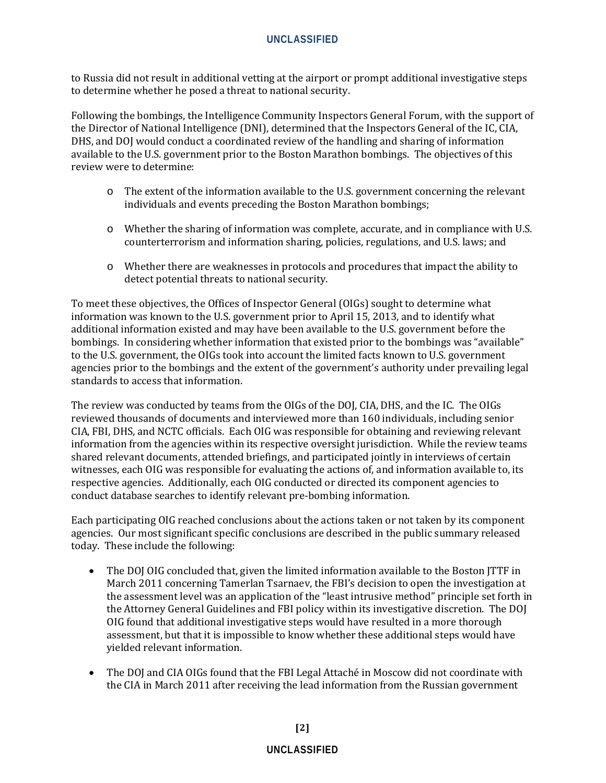## **UNCLASSIFIED**

to Russia did not result in additional vetting at the airport or prompt additional investigative steps to determine whether he posed a threat to national security.

Following the bombings, the Intelligence Community Inspectors General Forum, with the support of the Director of National Intelligence (DNI), determined that the Inspectors General of the IC, CIA, DHS, and DOJ would conduct a coordinated review of the handling and sharing of information available to the U.S. government prior to the Boston Marathon bombings. The objectives of this review were to determine:

- o The extent of the information available to the U.S. government concerning the relevant individuals and events preceding the Boston Marathon bombings;
- o Whether the sharing of information was complete, accurate, and in compliance with U.S. counterterrorism and information sharing, policies, regulations, and U.S. laws; and
- o Whether there are weaknesses in protocols and procedures that impact the ability to detect potential threats to national security.

To meet these objectives, the Offices of Inspector General (OIGs) sought to determine what information was known to the U.S. government prior to April 15, 2013, and to identify what additional information existed and may have been available to the U.S. government before the bombings. In considering whether information that existed prior to the bombings was "available" to the U.S. government, the OIGs took into account the limited facts known to U.S. government agencies prior to the bombings and the extent of the government's authority under prevailing legal standards to access that information.

The review was conducted by teams from the OIGs of the DOJ, CIA, DHS, and the IC. The OIGs reviewed thousands of documents and interviewed more than 160 individuals, including senior CIA, FBI, DHS, and NCTC officials. Each OIG was responsible for obtaining and reviewing relevant information from the agencies within its respective oversight jurisdiction. While the review teams shared relevant documents, attended briefings, and participated jointly in interviews of certain witnesses, each OIG was responsible for evaluating the actions of, and information available to, its respective agencies. Additionally, each OIG conducted or directed its component agencies to conduct database searches to identify relevant pre-bombing information.

Each participating OIG reached conclusions about the actions taken or not taken by its component agencies. Our most significant specific conclusions are described in the public summary released today. These include the following:

- The DOJ OIG concluded that, given the limited information available to the Boston JTTF in March 2011 concerning Tamerlan Tsarnaev, the FBI's decision to open the investigation at the assessment level was an application of the "least intrusive method" principle set forth in the Attorney General Guidelines and FBI policy within its investigative discretion. The DOJ OIG found that additional investigative steps would have resulted in a more thorough assessment, but that it is impossible to know whether these additional steps would have yielded relevant information.
- The DOJ and CIA OIGs found that the FBI Legal Attaché in Moscow did not coordinate with the CIA in March 2011 after receiving the lead information from the Russian government